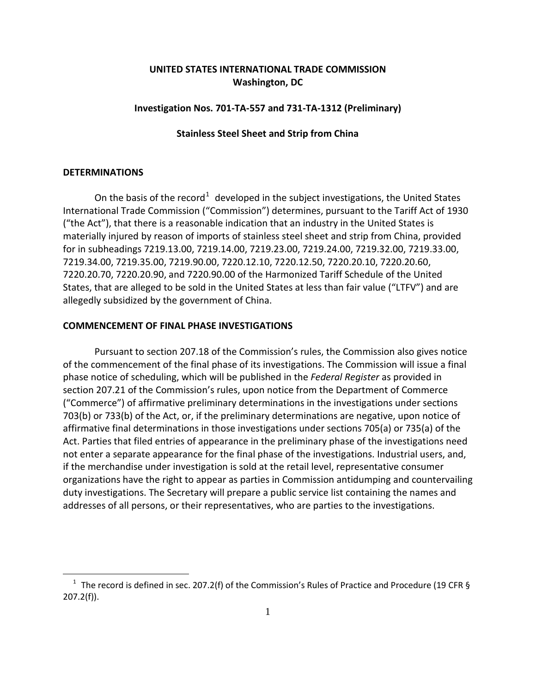# **UNITED STATES INTERNATIONAL TRADE COMMISSION Washington, DC**

### **Investigation Nos. 701-TA-557 and 731-TA-1312 (Preliminary)**

#### **Stainless Steel Sheet and Strip from China**

### **DETERMINATIONS**

 $\overline{a}$ 

On the basis of the record<sup>[1](#page-0-0)</sup> developed in the subject investigations, the United States International Trade Commission ("Commission") determines, pursuant to the Tariff Act of 1930 ("the Act"), that there is a reasonable indication that an industry in the United States is materially injured by reason of imports of stainless steel sheet and strip from China, provided for in subheadings 7219.13.00, 7219.14.00, 7219.23.00, 7219.24.00, 7219.32.00, 7219.33.00, 7219.34.00, 7219.35.00, 7219.90.00, 7220.12.10, 7220.12.50, 7220.20.10, 7220.20.60, 7220.20.70, 7220.20.90, and 7220.90.00 of the Harmonized Tariff Schedule of the United States, that are alleged to be sold in the United States at less than fair value ("LTFV") and are allegedly subsidized by the government of China.

#### **COMMENCEMENT OF FINAL PHASE INVESTIGATIONS**

Pursuant to section 207.18 of the Commission's rules, the Commission also gives notice of the commencement of the final phase of its investigations. The Commission will issue a final phase notice of scheduling, which will be published in the *Federal Register* as provided in section 207.21 of the Commission's rules, upon notice from the Department of Commerce ("Commerce") of affirmative preliminary determinations in the investigations under sections 703(b) or 733(b) of the Act, or, if the preliminary determinations are negative, upon notice of affirmative final determinations in those investigations under sections 705(a) or 735(a) of the Act. Parties that filed entries of appearance in the preliminary phase of the investigations need not enter a separate appearance for the final phase of the investigations. Industrial users, and, if the merchandise under investigation is sold at the retail level, representative consumer organizations have the right to appear as parties in Commission antidumping and countervailing duty investigations. The Secretary will prepare a public service list containing the names and addresses of all persons, or their representatives, who are parties to the investigations.

<span id="page-0-0"></span><sup>&</sup>lt;sup>1</sup> The record is defined in sec. 207.2(f) of the Commission's Rules of Practice and Procedure (19 CFR § 207.2(f)).